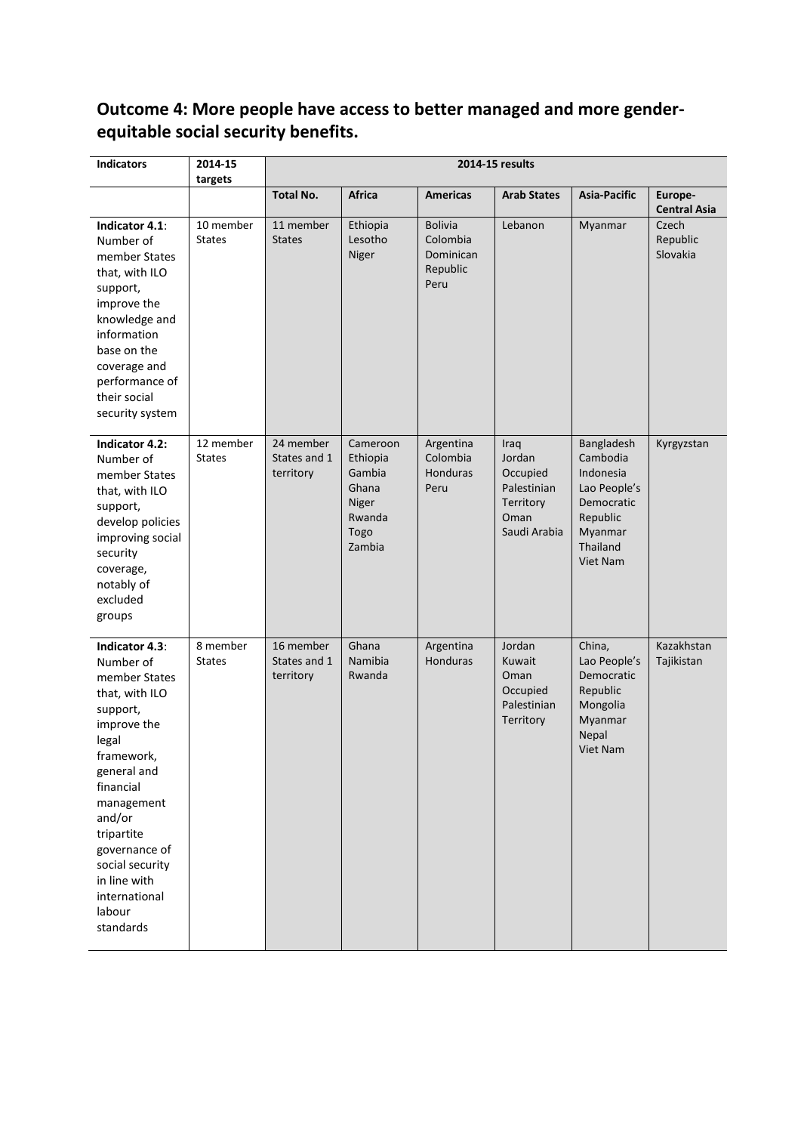# **Outcome 4: More people have access to better managed and more genderequitable social security benefits.**

| <b>Indicators</b>                                                                                                                                                                                                                                                              | 2014-15<br>targets         | 2014-15 results                        |                                                                              |                                                             |                                                                                |                                                                                                                  |                                |
|--------------------------------------------------------------------------------------------------------------------------------------------------------------------------------------------------------------------------------------------------------------------------------|----------------------------|----------------------------------------|------------------------------------------------------------------------------|-------------------------------------------------------------|--------------------------------------------------------------------------------|------------------------------------------------------------------------------------------------------------------|--------------------------------|
|                                                                                                                                                                                                                                                                                |                            | <b>Total No.</b>                       | <b>Africa</b>                                                                | <b>Americas</b>                                             | <b>Arab States</b>                                                             | <b>Asia-Pacific</b>                                                                                              | Europe-<br><b>Central Asia</b> |
| Indicator 4.1:<br>Number of<br>member States<br>that, with ILO<br>support,<br>improve the<br>knowledge and<br>information<br>base on the<br>coverage and<br>performance of<br>their social<br>security system                                                                  | 10 member<br><b>States</b> | 11 member<br><b>States</b>             | Ethiopia<br>Lesotho<br>Niger                                                 | <b>Bolivia</b><br>Colombia<br>Dominican<br>Republic<br>Peru | Lebanon                                                                        | Myanmar                                                                                                          | Czech<br>Republic<br>Slovakia  |
| Indicator 4.2:<br>Number of<br>member States<br>that, with ILO<br>support,<br>develop policies<br>improving social<br>security<br>coverage,<br>notably of<br>excluded<br>groups                                                                                                | 12 member<br><b>States</b> | 24 member<br>States and 1<br>territory | Cameroon<br>Ethiopia<br>Gambia<br>Ghana<br>Niger<br>Rwanda<br>Togo<br>Zambia | Argentina<br>Colombia<br>Honduras<br>Peru                   | Iraq<br>Jordan<br>Occupied<br>Palestinian<br>Territory<br>Oman<br>Saudi Arabia | Bangladesh<br>Cambodia<br>Indonesia<br>Lao People's<br>Democratic<br>Republic<br>Myanmar<br>Thailand<br>Viet Nam | Kyrgyzstan                     |
| Indicator 4.3:<br>Number of<br>member States<br>that, with ILO<br>support,<br>improve the<br>legal<br>framework,<br>general and<br>financial<br>management<br>and/or<br>tripartite<br>governance of<br>social security<br>in line with<br>international<br>labour<br>standards | 8 member<br><b>States</b>  | 16 member<br>States and 1<br>territory | Ghana<br>Namibia<br>Rwanda                                                   | Argentina<br>Honduras                                       | Jordan<br>Kuwait<br>Oman<br>Occupied<br>Palestinian<br>Territory               | China,<br>Lao People's<br>Democratic<br>Republic<br>Mongolia<br>Myanmar<br>Nepal<br><b>Viet Nam</b>              | Kazakhstan<br>Tajikistan       |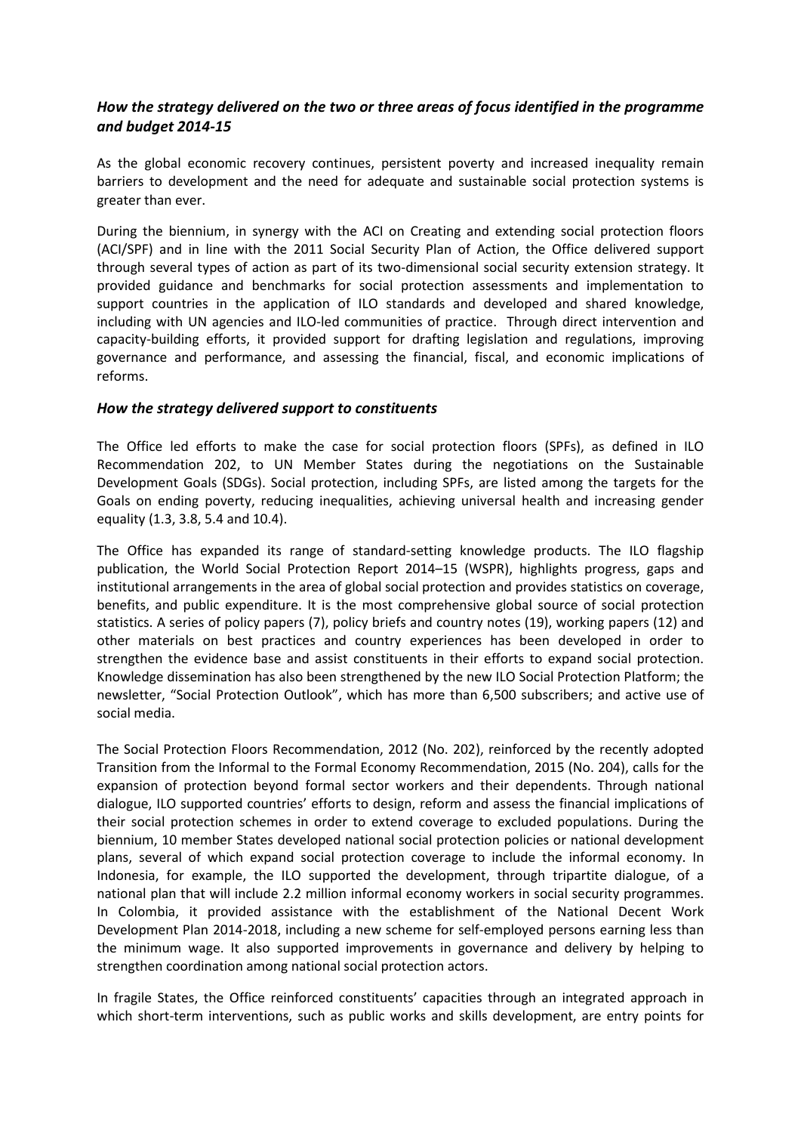# *How the strategy delivered on the two or three areas of focus identified in the programme and budget 2014-15*

As the global economic recovery continues, persistent poverty and increased inequality remain barriers to development and the need for adequate and sustainable social protection systems is greater than ever.

During the biennium, in synergy with the ACI on Creating and extending social protection floors (ACI/SPF) and in line with the 2011 Social Security Plan of Action, the Office delivered support through several types of action as part of its two-dimensional social security extension strategy. It provided guidance and benchmarks for social protection assessments and implementation to support countries in the application of ILO standards and developed and shared knowledge, including with UN agencies and ILO-led communities of practice. Through direct intervention and capacity-building efforts, it provided support for drafting legislation and regulations, improving governance and performance, and assessing the financial, fiscal, and economic implications of reforms.

#### *How the strategy delivered support to constituents*

The Office led efforts to make the case for social protection floors (SPFs), as defined in ILO Recommendation 202, to UN Member States during the negotiations on the Sustainable Development Goals (SDGs). Social protection, including SPFs, are listed among the targets for the Goals on ending poverty, reducing inequalities, achieving universal health and increasing gender equality (1.3, 3.8, 5.4 and 10.4).

The Office has expanded its range of standard-setting knowledge products. The ILO flagship publication, the World Social Protection Report 2014–15 (WSPR), highlights progress, gaps and institutional arrangements in the area of global social protection and provides statistics on coverage, benefits, and public expenditure. It is the most comprehensive global source of social protection statistics. A series of policy papers (7), policy briefs and country notes (19), working papers (12) and other materials on best practices and country experiences has been developed in order to strengthen the evidence base and assist constituents in their efforts to expand social protection. Knowledge dissemination has also been strengthened by the new ILO Social Protection Platform; the newsletter, "Social Protection Outlook", which has more than 6,500 subscribers; and active use of social media.

The Social Protection Floors Recommendation, 2012 (No. 202), reinforced by the recently adopted Transition from the Informal to the Formal Economy Recommendation, 2015 (No. 204), calls for the expansion of protection beyond formal sector workers and their dependents. Through national dialogue, ILO supported countries' efforts to design, reform and assess the financial implications of their social protection schemes in order to extend coverage to excluded populations. During the biennium, 10 member States developed national social protection policies or national development plans, several of which expand social protection coverage to include the informal economy. In Indonesia, for example, the ILO supported the development, through tripartite dialogue, of a national plan that will include 2.2 million informal economy workers in social security programmes. In Colombia, it provided assistance with the establishment of the National Decent Work Development Plan 2014-2018, including a new scheme for self-employed persons earning less than the minimum wage. It also supported improvements in governance and delivery by helping to strengthen coordination among national social protection actors.

In fragile States, the Office reinforced constituents' capacities through an integrated approach in which short-term interventions, such as public works and skills development, are entry points for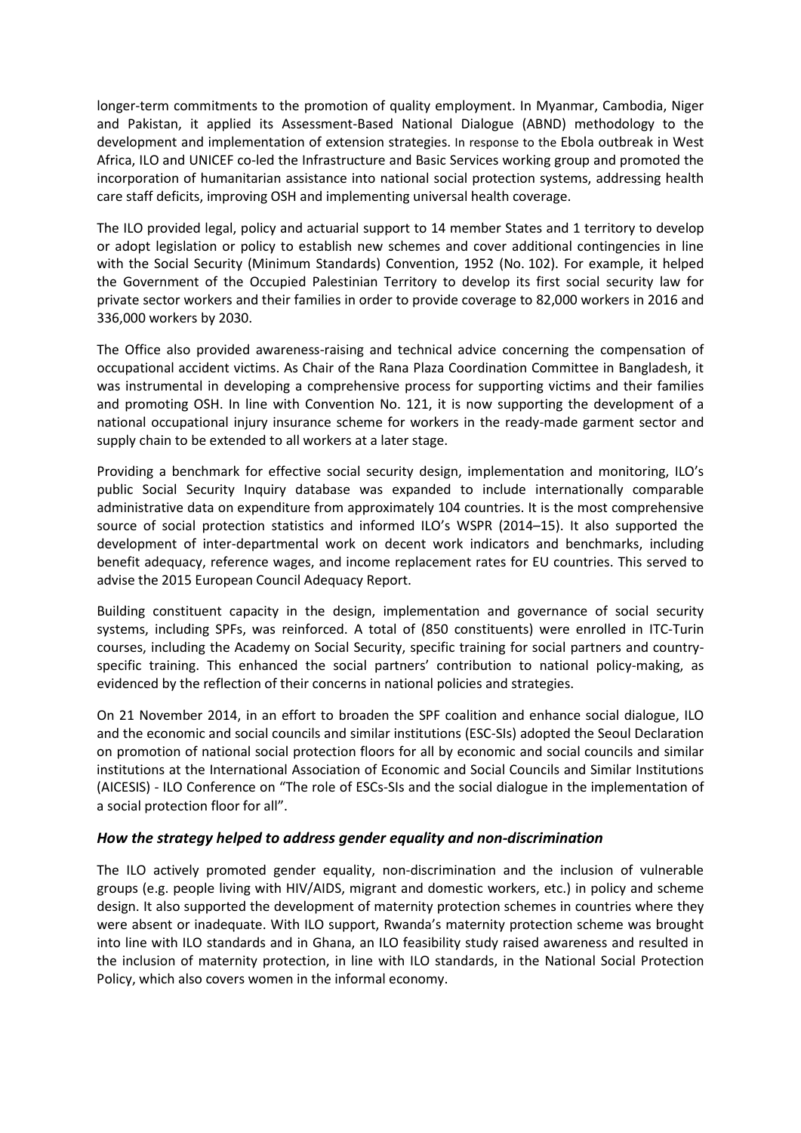longer-term commitments to the promotion of quality employment. In Myanmar, Cambodia, Niger and Pakistan, it applied its Assessment-Based National Dialogue (ABND) methodology to the development and implementation of extension strategies. In response to the Ebola outbreak in West Africa, ILO and UNICEF co-led the Infrastructure and Basic Services working group and promoted the incorporation of humanitarian assistance into national social protection systems, addressing health care staff deficits, improving OSH and implementing universal health coverage.

The ILO provided legal, policy and actuarial support to 14 member States and 1 territory to develop or adopt legislation or policy to establish new schemes and cover additional contingencies in line with the Social Security (Minimum Standards) Convention, 1952 (No. 102). For example, it helped the Government of the Occupied Palestinian Territory to develop its first social security law for private sector workers and their families in order to provide coverage to 82,000 workers in 2016 and 336,000 workers by 2030.

The Office also provided awareness-raising and technical advice concerning the compensation of occupational accident victims. As Chair of the Rana Plaza Coordination Committee in Bangladesh, it was instrumental in developing a comprehensive process for supporting victims and their families and promoting OSH. In line with Convention No. 121, it is now supporting the development of a national occupational injury insurance scheme for workers in the ready-made garment sector and supply chain to be extended to all workers at a later stage.

Providing a benchmark for effective social security design, implementation and monitoring, ILO's public Social Security Inquiry database was expanded to include internationally comparable administrative data on expenditure from approximately 104 countries. It is the most comprehensive source of social protection statistics and informed ILO's WSPR (2014–15). It also supported the development of inter-departmental work on decent work indicators and benchmarks, including benefit adequacy, reference wages, and income replacement rates for EU countries. This served to advise the 2015 European Council Adequacy Report.

Building constituent capacity in the design, implementation and governance of social security systems, including SPFs, was reinforced. A total of (850 constituents) were enrolled in ITC-Turin courses, including the Academy on Social Security, specific training for social partners and countryspecific training. This enhanced the social partners' contribution to national policy-making, as evidenced by the reflection of their concerns in national policies and strategies.

On 21 November 2014, in an effort to broaden the SPF coalition and enhance social dialogue, ILO and the economic and social councils and similar institutions (ESC-SIs) adopted the Seoul Declaration on promotion of national social protection floors for all by economic and social councils and similar institutions at the International Association of Economic and Social Councils and Similar Institutions (AICESIS) - ILO Conference on "The role of ESCs-SIs and the social dialogue in the implementation of a social protection floor for all".

## *How the strategy helped to address gender equality and non-discrimination*

The ILO actively promoted gender equality, non-discrimination and the inclusion of vulnerable groups (e.g. people living with HIV/AIDS, migrant and domestic workers, etc.) in policy and scheme design. It also supported the development of maternity protection schemes in countries where they were absent or inadequate. With ILO support, Rwanda's maternity protection scheme was brought into line with ILO standards and in Ghana, an ILO feasibility study raised awareness and resulted in the inclusion of maternity protection, in line with ILO standards, in the National Social Protection Policy, which also covers women in the informal economy.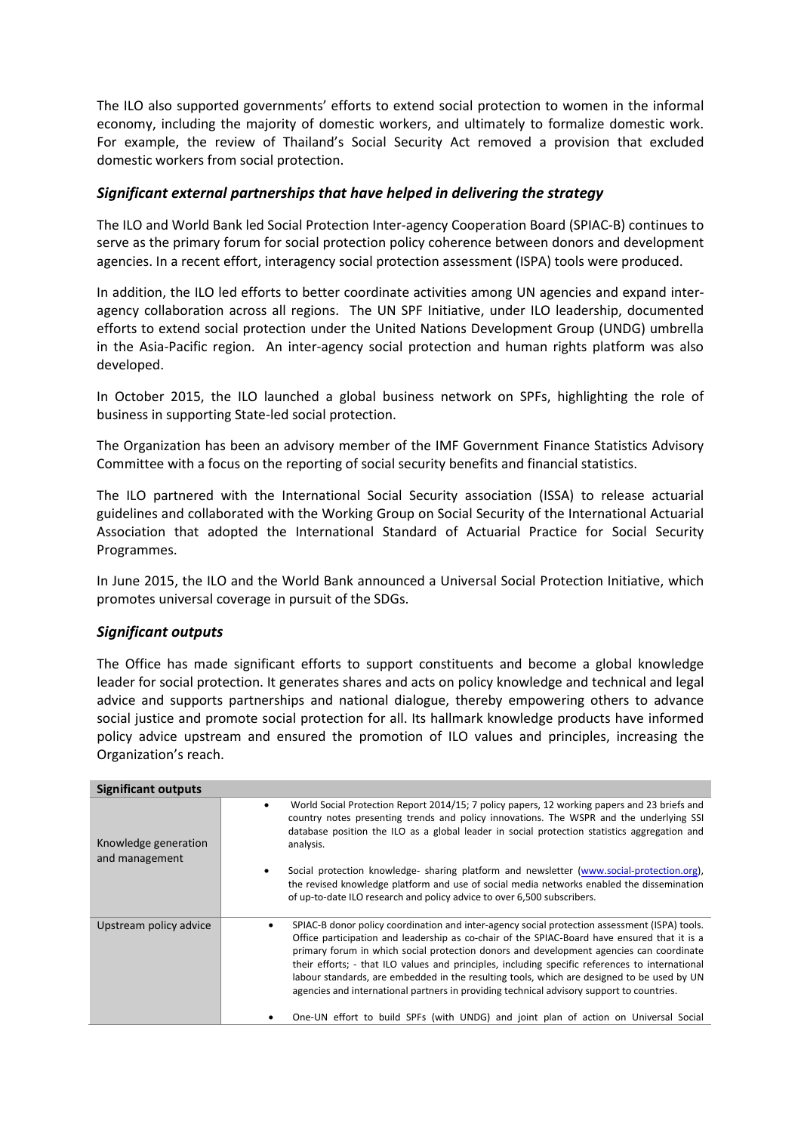The ILO also supported governments' efforts to extend social protection to women in the informal economy, including the majority of domestic workers, and ultimately to formalize domestic work. For example, the review of Thailand's Social Security Act removed a provision that excluded domestic workers from social protection.

#### *Significant external partnerships that have helped in delivering the strategy*

The ILO and World Bank led Social Protection Inter-agency Cooperation Board (SPIAC-B) continues to serve as the primary forum for social protection policy coherence between donors and development agencies. In a recent effort, interagency social protection assessment (ISPA) tools were produced.

In addition, the ILO led efforts to better coordinate activities among UN agencies and expand interagency collaboration across all regions. The UN SPF Initiative, under ILO leadership, documented efforts to extend social protection under the United Nations Development Group (UNDG) umbrella in the Asia-Pacific region. An inter-agency social protection and human rights platform was also developed.

In October 2015, the ILO launched a global business network on SPFs, highlighting the role of business in supporting State-led social protection.

The Organization has been an advisory member of the IMF Government Finance Statistics Advisory Committee with a focus on the reporting of social security benefits and financial statistics.

The ILO partnered with the International Social Security association (ISSA) to release actuarial guidelines and collaborated with the Working Group on Social Security of the International Actuarial Association that adopted the International Standard of Actuarial Practice for Social Security Programmes.

In June 2015, the ILO and the World Bank announced a Universal Social Protection Initiative, which promotes universal coverage in pursuit of the SDGs.

## *Significant outputs*

The Office has made significant efforts to support constituents and become a global knowledge leader for social protection. It generates shares and acts on policy knowledge and technical and legal advice and supports partnerships and national dialogue, thereby empowering others to advance social justice and promote social protection for all. Its hallmark knowledge products have informed policy advice upstream and ensured the promotion of ILO values and principles, increasing the Organization's reach.

| <b>Significant outputs</b>             |                                                                                                                                                                                                                                                                                                                                                                                                                                                                                                                                                                                        |
|----------------------------------------|----------------------------------------------------------------------------------------------------------------------------------------------------------------------------------------------------------------------------------------------------------------------------------------------------------------------------------------------------------------------------------------------------------------------------------------------------------------------------------------------------------------------------------------------------------------------------------------|
| Knowledge generation<br>and management | World Social Protection Report 2014/15; 7 policy papers, 12 working papers and 23 briefs and<br>country notes presenting trends and policy innovations. The WSPR and the underlying SSI<br>database position the ILO as a global leader in social protection statistics aggregation and<br>analysis.                                                                                                                                                                                                                                                                                   |
|                                        | Social protection knowledge- sharing platform and newsletter (www.social-protection.org),<br>the revised knowledge platform and use of social media networks enabled the dissemination<br>of up-to-date ILO research and policy advice to over 6,500 subscribers.                                                                                                                                                                                                                                                                                                                      |
| Upstream policy advice                 | SPIAC-B donor policy coordination and inter-agency social protection assessment (ISPA) tools.<br>Office participation and leadership as co-chair of the SPIAC-Board have ensured that it is a<br>primary forum in which social protection donors and development agencies can coordinate<br>their efforts; - that ILO values and principles, including specific references to international<br>labour standards, are embedded in the resulting tools, which are designed to be used by UN<br>agencies and international partners in providing technical advisory support to countries. |
|                                        | One-UN effort to build SPFs (with UNDG) and joint plan of action on Universal Social                                                                                                                                                                                                                                                                                                                                                                                                                                                                                                   |